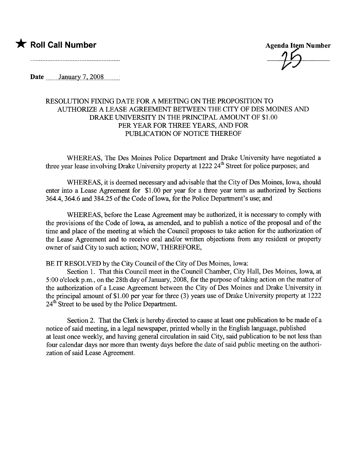## \* Roll Call Number Agenda Item Number

Date  $\frac{1}{2}$  January 7, 2008

## RESOLUTION FIXING DATE FOR A MEETING ON THE PROPOSITION TO AUTHORIE A LEASE AGREEMENT BETWEEN THE CITY OF DES MOINS AND DRAKE UNIVERSITY IN THE PRINCIPAL AMOUNT OF \$1.00 PER YEAR FOR THREE YEARS, AND FOR PUBLICATION OF NOTICE THEREOF

WHEREAS, The Des Moines Police Department and Drake University have negotiated a three year lease involving Drake University property at 1222 24<sup>th</sup> Street for police purposes; and

WHEREAS, it is deemed necessary and advisable that the City of Des Moines, Iowa, should enter into a Lease Agreement for \$1.00 per year for a thee year term as authorized by Sections 364.4, 364.6 and 384.25 of the Code of Iowa, for the Police Department's use; and

WHEREAS, before the Lease Agreement may be authorized, it is necessary to comply with the provisions of the Code of Iowa, as amended, and to publish a notice of the proposal and of the time and place of the meeting at which the Council proposes to take action for the authorization of the Lease Agreement and to receive oral and/or wrtten objections from any resident or property owner of said City to such action; NOW, THEREFORE,

BE IT RESOLVED by the City Council of the City of Des Moines, Iowa:

Section 1. That this Council meet in the Council Chamber, City Hall, Des Moines, Iowa, at 5:00 o'clock p.m., on the 28th day of January, 2008, for the purpose of taking action on the matter of the authorization of a Lease Agreement between the City of Des Moines and Drake University in the principal amount of \$1.00 per year for three (3) years use of Drake University property at 1222  $24<sup>th</sup>$  Street to be used by the Police Department.

Section 2. That the Clerk is hereby directed to cause at least one publication to be made of a notice of said meeting, in a legal newspaper, printed wholly in the English language, published at least once weekly, and having general circulation in said City, said publication to be not less than four calendar days nor more than twenty days before the date of said public meeting on the authorization of said Lease Agreement.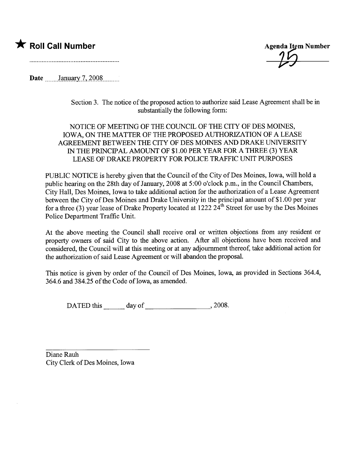## \* Roll Call Number Agenda Item Number

Date \_\_\_\_\_\_\_January 7, 2008

Section 3. The notice of the proposed action to authorize said Lease Agreement shall be in substantially the following form:

NOTICE OF MEETING OF THE COUNCIL OF THE CITY OF DES MOINS, IOWA, ON THE MATTER OF THE PROPOSED AUTHORIZATION OF A LEASE AGREEMENT BETWEEN THE CITY OF DES MOINES AND DRAKE UNIVERSITY IN THE PRINCIPAL AMOUNT OF \$1.00 PER YEAR FOR A THREE (3) YEAR LEASE OF DRAKE PROPERTY FOR POLICE TRAFFIC UNIT PURPOSES

PUBLIC NOTICE is hereby given that the Council of the City of Des Moines, Iowa, will hold a public hearing on the 28th day of January, 2008 at 5:00 o'clock p.m., in the Council Chambers, City Hall, Des Moines, Iowa to take additional action for the authorization of a Lease Agreement between the City of Des Moines and Drake University in the principal amount of \$1.00 per year for a three (3) year lease of Drake Property located at  $1222 \, 24$ <sup>th</sup> Street for use by the Des Moines Police Department Traffic Unit.

At the above meeting the Council shall receive oral or wrtten objections from any resident or property owners of said City to the above action. After all objections have been received and considered, the Council will at this meeting or at any adjournment thereof, take additional action for the authorization of said Lease Agreement or will abandon the proposaL.

This notice is given by order of the Council of Des Moines, Iowa, as provided in Sections 364.4, 364.6 and 384.25 of the Code of Iowa, as amended.

DATED this day of , 2008.

Diane Rauh City Clerk of Des Moines, Iowa